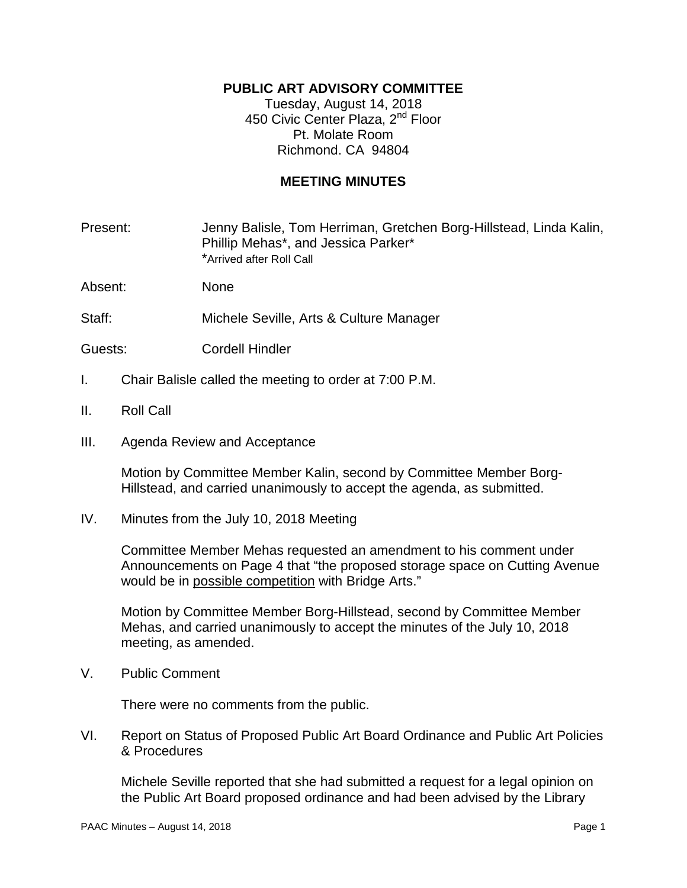# **PUBLIC ART ADVISORY COMMITTEE**

Tuesday, August 14, 2018 450 Civic Center Plaza, 2<sup>nd</sup> Floor Pt. Molate Room Richmond. CA 94804

## **MEETING MINUTES**

Present: Jenny Balisle, Tom Herriman, Gretchen Borg-Hillstead, Linda Kalin, Phillip Mehas\*, and Jessica Parker\* \*Arrived after Roll Call

Absent: None

Staff: Michele Seville, Arts & Culture Manager

- Guests: Cordell Hindler
- I. Chair Balisle called the meeting to order at 7:00 P.M.
- II. Roll Call
- III. Agenda Review and Acceptance

Motion by Committee Member Kalin, second by Committee Member Borg-Hillstead, and carried unanimously to accept the agenda, as submitted.

IV. Minutes from the July 10, 2018 Meeting

Committee Member Mehas requested an amendment to his comment under Announcements on Page 4 that "the proposed storage space on Cutting Avenue would be in possible competition with Bridge Arts."

Motion by Committee Member Borg-Hillstead, second by Committee Member Mehas, and carried unanimously to accept the minutes of the July 10, 2018 meeting, as amended.

V. Public Comment

There were no comments from the public.

VI. Report on Status of Proposed Public Art Board Ordinance and Public Art Policies & Procedures

Michele Seville reported that she had submitted a request for a legal opinion on the Public Art Board proposed ordinance and had been advised by the Library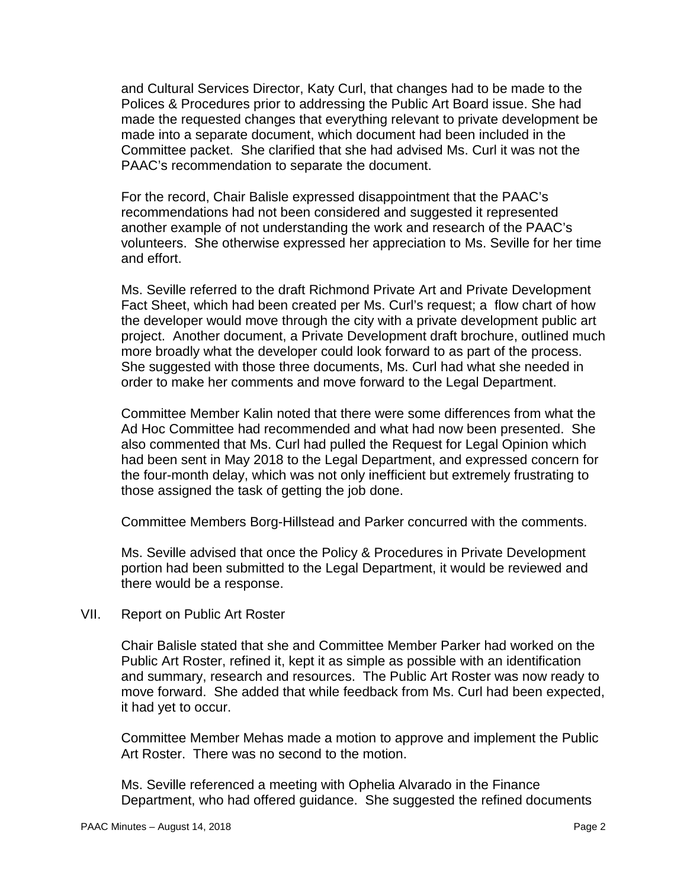and Cultural Services Director, Katy Curl, that changes had to be made to the Polices & Procedures prior to addressing the Public Art Board issue. She had made the requested changes that everything relevant to private development be made into a separate document, which document had been included in the Committee packet. She clarified that she had advised Ms. Curl it was not the PAAC's recommendation to separate the document.

For the record, Chair Balisle expressed disappointment that the PAAC's recommendations had not been considered and suggested it represented another example of not understanding the work and research of the PAAC's volunteers. She otherwise expressed her appreciation to Ms. Seville for her time and effort.

Ms. Seville referred to the draft Richmond Private Art and Private Development Fact Sheet, which had been created per Ms. Curl's request; a flow chart of how the developer would move through the city with a private development public art project. Another document, a Private Development draft brochure, outlined much more broadly what the developer could look forward to as part of the process. She suggested with those three documents, Ms. Curl had what she needed in order to make her comments and move forward to the Legal Department.

Committee Member Kalin noted that there were some differences from what the Ad Hoc Committee had recommended and what had now been presented. She also commented that Ms. Curl had pulled the Request for Legal Opinion which had been sent in May 2018 to the Legal Department, and expressed concern for the four-month delay, which was not only inefficient but extremely frustrating to those assigned the task of getting the job done.

Committee Members Borg-Hillstead and Parker concurred with the comments.

Ms. Seville advised that once the Policy & Procedures in Private Development portion had been submitted to the Legal Department, it would be reviewed and there would be a response.

## VII. Report on Public Art Roster

Chair Balisle stated that she and Committee Member Parker had worked on the Public Art Roster, refined it, kept it as simple as possible with an identification and summary, research and resources. The Public Art Roster was now ready to move forward. She added that while feedback from Ms. Curl had been expected, it had yet to occur.

Committee Member Mehas made a motion to approve and implement the Public Art Roster. There was no second to the motion.

Ms. Seville referenced a meeting with Ophelia Alvarado in the Finance Department, who had offered guidance. She suggested the refined documents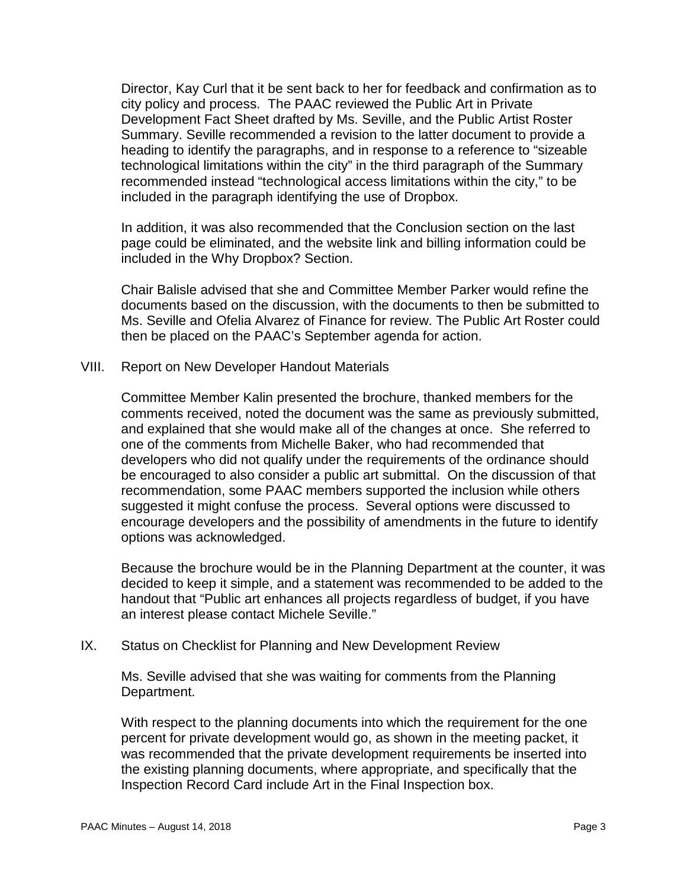Director, Kay Curl that it be sent back to her for feedback and confirmation as to city policy and process. The PAAC reviewed the Public Art in Private Development Fact Sheet drafted by Ms. Seville, and the Public Artist Roster Summary. Seville recommended a revision to the latter document to provide a heading to identify the paragraphs, and in response to a reference to "sizeable technological limitations within the city" in the third paragraph of the Summary recommended instead "technological access limitations within the city," to be included in the paragraph identifying the use of Dropbox.

In addition, it was also recommended that the Conclusion section on the last page could be eliminated, and the website link and billing information could be included in the Why Dropbox? Section.

Chair Balisle advised that she and Committee Member Parker would refine the documents based on the discussion, with the documents to then be submitted to Ms. Seville and Ofelia Alvarez of Finance for review. The Public Art Roster could then be placed on the PAAC's September agenda for action.

VIII. Report on New Developer Handout Materials

Committee Member Kalin presented the brochure, thanked members for the comments received, noted the document was the same as previously submitted, and explained that she would make all of the changes at once. She referred to one of the comments from Michelle Baker, who had recommended that developers who did not qualify under the requirements of the ordinance should be encouraged to also consider a public art submittal. On the discussion of that recommendation, some PAAC members supported the inclusion while others suggested it might confuse the process. Several options were discussed to encourage developers and the possibility of amendments in the future to identify options was acknowledged.

Because the brochure would be in the Planning Department at the counter, it was decided to keep it simple, and a statement was recommended to be added to the handout that "Public art enhances all projects regardless of budget, if you have an interest please contact Michele Seville."

IX. Status on Checklist for Planning and New Development Review

Ms. Seville advised that she was waiting for comments from the Planning Department.

With respect to the planning documents into which the requirement for the one percent for private development would go, as shown in the meeting packet, it was recommended that the private development requirements be inserted into the existing planning documents, where appropriate, and specifically that the Inspection Record Card include Art in the Final Inspection box.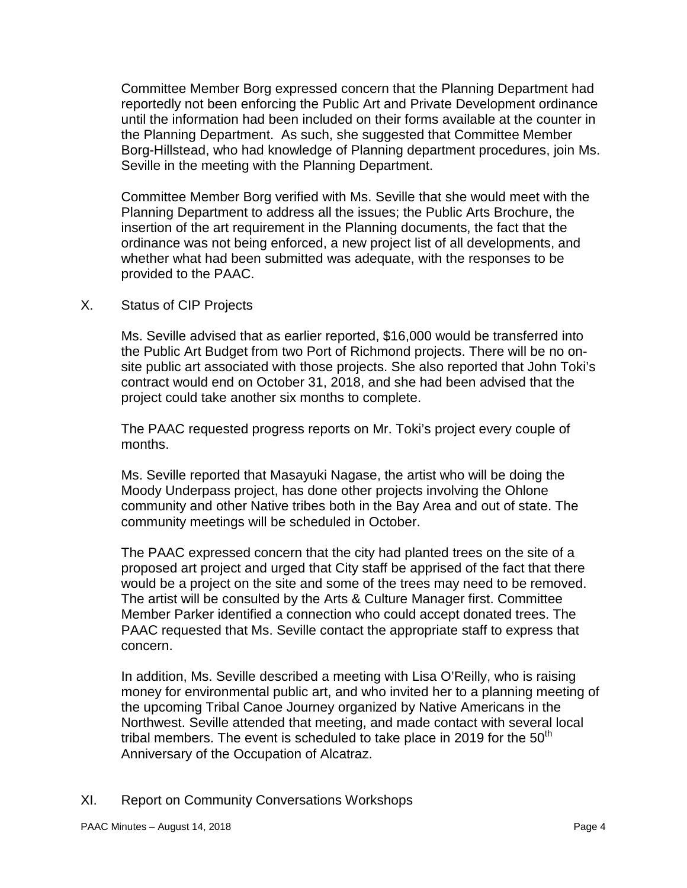Committee Member Borg expressed concern that the Planning Department had reportedly not been enforcing the Public Art and Private Development ordinance until the information had been included on their forms available at the counter in the Planning Department. As such, she suggested that Committee Member Borg-Hillstead, who had knowledge of Planning department procedures, join Ms. Seville in the meeting with the Planning Department.

Committee Member Borg verified with Ms. Seville that she would meet with the Planning Department to address all the issues; the Public Arts Brochure, the insertion of the art requirement in the Planning documents, the fact that the ordinance was not being enforced, a new project list of all developments, and whether what had been submitted was adequate, with the responses to be provided to the PAAC.

X. Status of CIP Projects

Ms. Seville advised that as earlier reported, \$16,000 would be transferred into the Public Art Budget from two Port of Richmond projects. There will be no onsite public art associated with those projects. She also reported that John Toki's contract would end on October 31, 2018, and she had been advised that the project could take another six months to complete.

The PAAC requested progress reports on Mr. Toki's project every couple of months.

Ms. Seville reported that Masayuki Nagase, the artist who will be doing the Moody Underpass project, has done other projects involving the Ohlone community and other Native tribes both in the Bay Area and out of state. The community meetings will be scheduled in October.

The PAAC expressed concern that the city had planted trees on the site of a proposed art project and urged that City staff be apprised of the fact that there would be a project on the site and some of the trees may need to be removed. The artist will be consulted by the Arts & Culture Manager first. Committee Member Parker identified a connection who could accept donated trees. The PAAC requested that Ms. Seville contact the appropriate staff to express that concern.

In addition, Ms. Seville described a meeting with Lisa O'Reilly, who is raising money for environmental public art, and who invited her to a planning meeting of the upcoming Tribal Canoe Journey organized by Native Americans in the Northwest. Seville attended that meeting, and made contact with several local tribal members. The event is scheduled to take place in 2019 for the  $50<sup>th</sup>$ Anniversary of the Occupation of Alcatraz.

XI. Report on Community Conversations Workshops